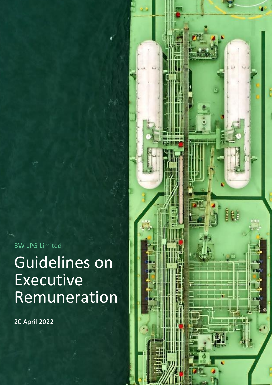BW LPG Limited

# Guidelines on Executive Remuneration

20 April 2022

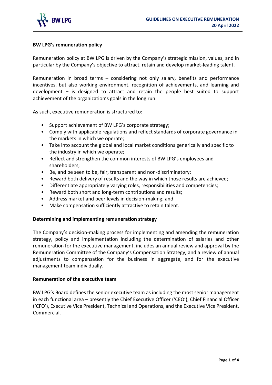

#### **BW LPG's remuneration policy**

Remuneration policy at BW LPG is driven by the Company's strategic mission, values, and in particular by the Company's objective to attract, retain and develop market-leading talent.

Remuneration in broad terms – considering not only salary, benefits and performance incentives, but also working environment, recognition of achievements, and learning and development – is designed to attract and retain the people best suited to support achievement of the organization's goals in the long run.

As such, executive remuneration is structured to:

- Support achievement of BW LPG's corporate strategy;
- Comply with applicable regulations and reflect standards of corporate governance in the markets in which we operate;
- Take into account the global and local market conditions generically and specific to the industry in which we operate;
- Reflect and strengthen the common interests of BW LPG's employees and shareholders;
- Be, and be seen to be, fair, transparent and non-discriminatory;
- Reward both delivery of results and the way in which those results are achieved;
- Differentiate appropriately varying roles, responsibilities and competencies;
- Reward both short and long-term contributions and results;
- Address market and peer levels in decision-making; and
- Make compensation sufficiently attractive to retain talent.

#### **Determining and implementing remuneration strategy**

The Company's decision-making process for implementing and amending the remuneration strategy, policy and implementation including the determination of salaries and other remuneration for the executive management, includes an annual review and approval by the Remuneration Committee of the Company's Compensation Strategy, and a review of annual adjustments to compensation for the business in aggregate, and for the executive management team individually.

## **Remuneration of the executive team**

BW LPG's Board defines the senior executive team as including the most senior management in each functional area – presently the Chief Executive Officer ('CEO'), Chief Financial Officer ('CFO'), Executive Vice President, Technical and Operations, and the Executive Vice President, Commercial.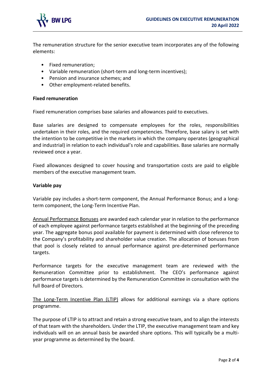

The remuneration structure for the senior executive team incorporates any of the following elements:

- Fixed remuneration;
- Variable remuneration (short-term and long-term incentives);
- Pension and insurance schemes; and
- Other employment-related benefits.

#### **Fixed remuneration**

Fixed remuneration comprises base salaries and allowances paid to executives.

Base salaries are designed to compensate employees for the roles, responsibilities undertaken in their roles, and the required competencies. Therefore, base salary is set with the intention to be competitive in the markets in which the company operates (geographical and industrial) in relation to each individual's role and capabilities. Base salaries are normally reviewed once a year.

Fixed allowances designed to cover housing and transportation costs are paid to eligible members of the executive management team.

#### **Variable pay**

Variable pay includes a short-term component, the Annual Performance Bonus; and a longterm component, the Long-Term Incentive Plan.

Annual Performance Bonuses are awarded each calendar year in relation to the performance of each employee against performance targets established at the beginning of the preceding year. The aggregate bonus pool available for payment is determined with close reference to the Company's profitability and shareholder value creation. The allocation of bonuses from that pool is closely related to annual performance against pre-determined performance targets.

Performance targets for the executive management team are reviewed with the Remuneration Committee prior to establishment. The CEO's performance against performance targets is determined by the Remuneration Committee in consultation with the full Board of Directors.

The Long-Term Incentive Plan (LTIP) allows for additional earnings via a share options programme.

The purpose of LTIP is to attract and retain a strong executive team, and to align the interests of that team with the shareholders. Under the LTIP, the executive management team and key individuals will on an annual basis be awarded share options. This will typically be a multiyear programme as determined by the board.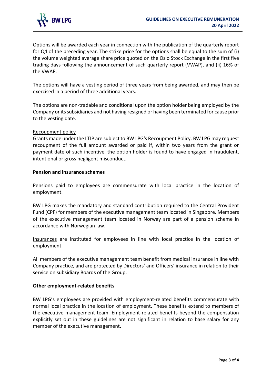

Options will be awarded each year in connection with the publication of the quarterly report for Q4 of the preceding year. The strike price for the options shall be equal to the sum of (i) the volume weighted average share price quoted on the Oslo Stock Exchange in the first five trading days following the announcement of such quarterly report (VWAP), and (ii) 16% of the VWAP.

The options will have a vesting period of three years from being awarded, and may then be exercised in a period of three additional years.

The options are non-tradable and conditional upon the option holder being employed by the Company or its subsidiaries and not having resigned or having been terminated for cause prior to the vesting date.

#### Recoupment policy

Grants made under the LTIP are subject to BW LPG's Recoupment Policy. BW LPG may request recoupment of the full amount awarded or paid if, within two years from the grant or payment date of such incentive, the option holder is found to have engaged in fraudulent, intentional or gross negligent misconduct.

#### **Pension and insurance schemes**

Pensions paid to employees are commensurate with local practice in the location of employment.

BW LPG makes the mandatory and standard contribution required to the Central Provident Fund (CPF) for members of the executive management team located in Singapore. Members of the executive management team located in Norway are part of a pension scheme in accordance with Norwegian law.

Insurances are instituted for employees in line with local practice in the location of employment.

All members of the executive management team benefit from medical insurance in line with Company practice, and are protected by Directors' and Officers' insurance in relation to their service on subsidiary Boards of the Group.

## **Other employment-related benefits**

BW LPG's employees are provided with employment-related benefits commensurate with normal local practice in the location of employment. These benefits extend to members of the executive management team. Employment-related benefits beyond the compensation explicitly set out in these guidelines are not significant in relation to base salary for any member of the executive management.